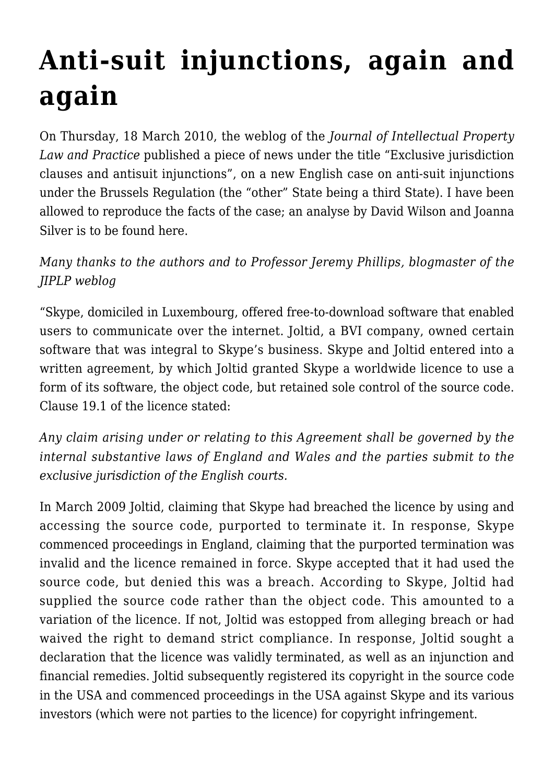## **[Anti-suit injunctions, again and](https://conflictoflaws.net/2010/anti-suit-injunctions-again-and-again/) [again](https://conflictoflaws.net/2010/anti-suit-injunctions-again-and-again/)**

On Thursday, 18 March 2010, the weblog of the *Journal of Intellectual Property Law and Practice* published a piece of news under the title "Exclusive jurisdiction clauses and antisuit injunctions", on a new English case on anti-suit injunctions under the Brussels Regulation (the "other" State being a third State). I have been allowed to reproduce the facts of the case; an analyse by David Wilson and Joanna Silver is to be found [here](http://jiplp.blogspot.com/2010/03/exclusive-jurisdiction-clauses-and-anti.html).

## *Many thanks to the authors and to Professor Jeremy Phillips, blogmaster of the JIPLP weblog*

"Skype, domiciled in Luxembourg, offered free-to-download software that enabled users to communicate over the internet. Joltid, a BVI company, owned certain software that was integral to Skype's business. Skype and Joltid entered into a written agreement, by which Joltid granted Skype a worldwide licence to use a form of its software, the object code, but retained sole control of the source code. Clause 19.1 of the licence stated:

*Any claim arising under or relating to this Agreement shall be governed by the internal substantive laws of England and Wales and the parties submit to the exclusive jurisdiction of the English courts.*

In March 2009 Joltid, claiming that Skype had breached the licence by using and accessing the source code, purported to terminate it. In response, Skype commenced proceedings in England, claiming that the purported termination was invalid and the licence remained in force. Skype accepted that it had used the source code, but denied this was a breach. According to Skype, Joltid had supplied the source code rather than the object code. This amounted to a variation of the licence. If not, Joltid was estopped from alleging breach or had waived the right to demand strict compliance. In response, Joltid sought a declaration that the licence was validly terminated, as well as an injunction and financial remedies. Joltid subsequently registered its copyright in the source code in the USA and commenced proceedings in the USA against Skype and its various investors (which were not parties to the licence) for copyright infringement.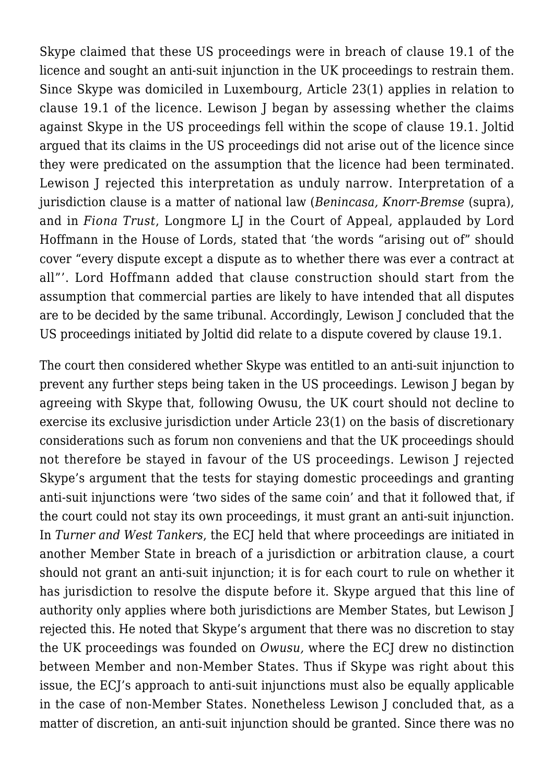Skype claimed that these US proceedings were in breach of clause 19.1 of the licence and sought an anti-suit injunction in the UK proceedings to restrain them. Since Skype was domiciled in Luxembourg, Article 23(1) applies in relation to clause 19.1 of the licence. Lewison J began by assessing whether the claims against Skype in the US proceedings fell within the scope of clause 19.1. Joltid argued that its claims in the US proceedings did not arise out of the licence since they were predicated on the assumption that the licence had been terminated. Lewison J rejected this interpretation as unduly narrow. Interpretation of a jurisdiction clause is a matter of national law (*Benincasa, Knorr-Bremse* (supra), and in *Fiona Trust*, Longmore LJ in the Court of Appeal, applauded by Lord Hoffmann in the House of Lords, stated that 'the words "arising out of" should cover "every dispute except a dispute as to whether there was ever a contract at all"'. Lord Hoffmann added that clause construction should start from the assumption that commercial parties are likely to have intended that all disputes are to be decided by the same tribunal. Accordingly, Lewison J concluded that the US proceedings initiated by Joltid did relate to a dispute covered by clause 19.1.

The court then considered whether Skype was entitled to an anti-suit injunction to prevent any further steps being taken in the US proceedings. Lewison J began by agreeing with Skype that, following Owusu, the UK court should not decline to exercise its exclusive jurisdiction under Article 23(1) on the basis of discretionary considerations such as forum non conveniens and that the UK proceedings should not therefore be stayed in favour of the US proceedings. Lewison J rejected Skype's argument that the tests for staying domestic proceedings and granting anti-suit injunctions were 'two sides of the same coin' and that it followed that, if the court could not stay its own proceedings, it must grant an anti-suit injunction. In *Turner and West Tankers*, the ECJ held that where proceedings are initiated in another Member State in breach of a jurisdiction or arbitration clause, a court should not grant an anti-suit injunction; it is for each court to rule on whether it has jurisdiction to resolve the dispute before it. Skype argued that this line of authority only applies where both jurisdictions are Member States, but Lewison J rejected this. He noted that Skype's argument that there was no discretion to stay the UK proceedings was founded on *Owusu,* where the ECJ drew no distinction between Member and non-Member States. Thus if Skype was right about this issue, the ECJ's approach to anti-suit injunctions must also be equally applicable in the case of non-Member States. Nonetheless Lewison J concluded that, as a matter of discretion, an anti-suit injunction should be granted. Since there was no